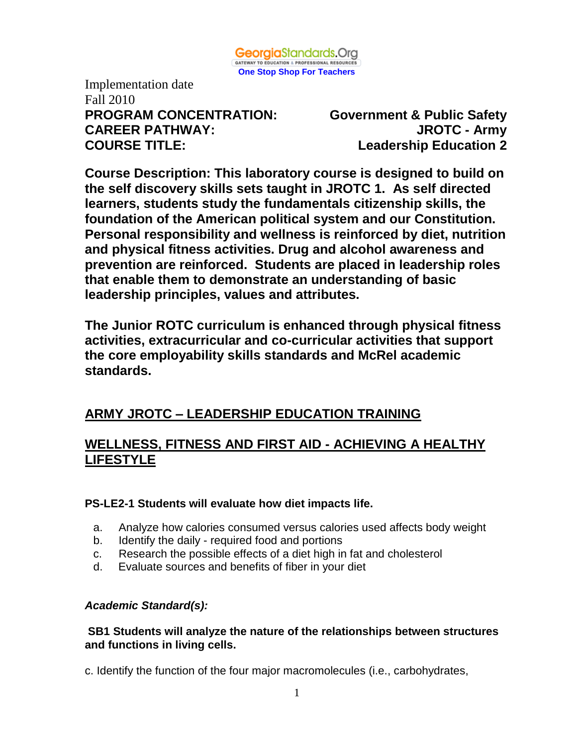

Implementation date Fall 2010 **PROGRAM CONCENTRATION: Government & Public Safety CAREER PATHWAY: JROTC - Army COURSE TITLE: Leadership Education 2**

**Course Description: This laboratory course is designed to build on the self discovery skills sets taught in JROTC 1. As self directed learners, students study the fundamentals citizenship skills, the foundation of the American political system and our Constitution. Personal responsibility and wellness is reinforced by diet, nutrition and physical fitness activities. Drug and alcohol awareness and prevention are reinforced. Students are placed in leadership roles that enable them to demonstrate an understanding of basic leadership principles, values and attributes.**

**The Junior ROTC curriculum is enhanced through physical fitness activities, extracurricular and co-curricular activities that support the core employability skills standards and McRel academic standards.** 

# **ARMY JROTC – LEADERSHIP EDUCATION TRAINING**

## **WELLNESS, FITNESS AND FIRST AID - ACHIEVING A HEALTHY LIFESTYLE**

#### **PS-LE2-1 Students will evaluate how diet impacts life.**

- a. Analyze how calories consumed versus calories used affects body weight
- b. Identify the daily required food and portions
- c. Research the possible effects of a diet high in fat and cholesterol
- d. Evaluate sources and benefits of fiber in your diet

#### *Academic Standard(s):*

#### **SB1 Students will analyze the nature of the relationships between structures and functions in living cells.**

c. Identify the function of the four major macromolecules (i.e., carbohydrates,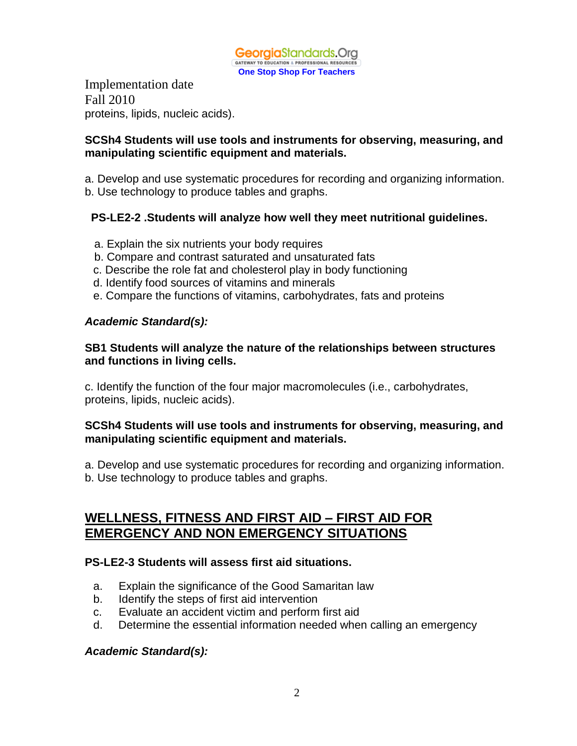

Implementation date Fall 2010 proteins, lipids, nucleic acids).

#### **SCSh4 Students will use tools and instruments for observing, measuring, and manipulating scientific equipment and materials.**

a. Develop and use systematic procedures for recording and organizing information. b. Use technology to produce tables and graphs.

#### **PS-LE2-2 .Students will analyze how well they meet nutritional guidelines.**

- a. Explain the six nutrients your body requires
- b. Compare and contrast saturated and unsaturated fats
- c. Describe the role fat and cholesterol play in body functioning
- d. Identify food sources of vitamins and minerals
- e. Compare the functions of vitamins, carbohydrates, fats and proteins

#### *Academic Standard(s):*

#### **SB1 Students will analyze the nature of the relationships between structures and functions in living cells.**

c. Identify the function of the four major macromolecules (i.e., carbohydrates, proteins, lipids, nucleic acids).

#### **SCSh4 Students will use tools and instruments for observing, measuring, and manipulating scientific equipment and materials.**

a. Develop and use systematic procedures for recording and organizing information.

b. Use technology to produce tables and graphs.

## **WELLNESS, FITNESS AND FIRST AID – FIRST AID FOR EMERGENCY AND NON EMERGENCY SITUATIONS**

#### **PS-LE2-3 Students will assess first aid situations.**

- a. Explain the significance of the Good Samaritan law
- b. Identify the steps of first aid intervention
- c. Evaluate an accident victim and perform first aid
- d. Determine the essential information needed when calling an emergency

#### *Academic Standard(s):*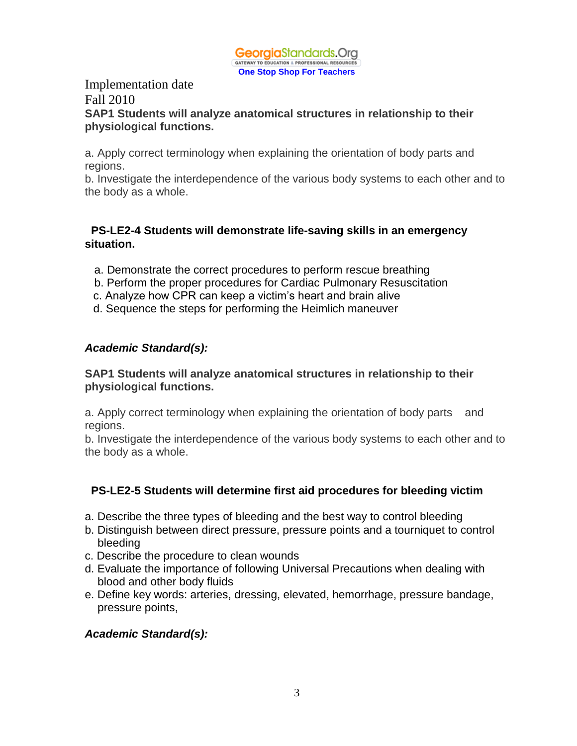

#### Implementation date Fall 2010 **SAP1 Students will analyze anatomical structures in relationship to their physiological functions.**

a. Apply correct terminology when explaining the orientation of body parts and regions.

b. Investigate the interdependence of the various body systems to each other and to the body as a whole.

#### **PS-LE2-4 Students will demonstrate life-saving skills in an emergency situation.**

- a. Demonstrate the correct procedures to perform rescue breathing
- b. Perform the proper procedures for Cardiac Pulmonary Resuscitation
- c. Analyze how CPR can keep a victim's heart and brain alive
- d. Sequence the steps for performing the Heimlich maneuver

#### *Academic Standard(s):*

#### **SAP1 Students will analyze anatomical structures in relationship to their physiological functions.**

a. Apply correct terminology when explaining the orientation of body parts and regions.

b. Investigate the interdependence of the various body systems to each other and to the body as a whole.

#### **PS-LE2-5 Students will determine first aid procedures for bleeding victim**

- a. Describe the three types of bleeding and the best way to control bleeding
- b. Distinguish between direct pressure, pressure points and a tourniquet to control bleeding
- c. Describe the procedure to clean wounds
- d. Evaluate the importance of following Universal Precautions when dealing with blood and other body fluids
- e. Define key words: arteries, dressing, elevated, hemorrhage, pressure bandage, pressure points,

#### *Academic Standard(s):*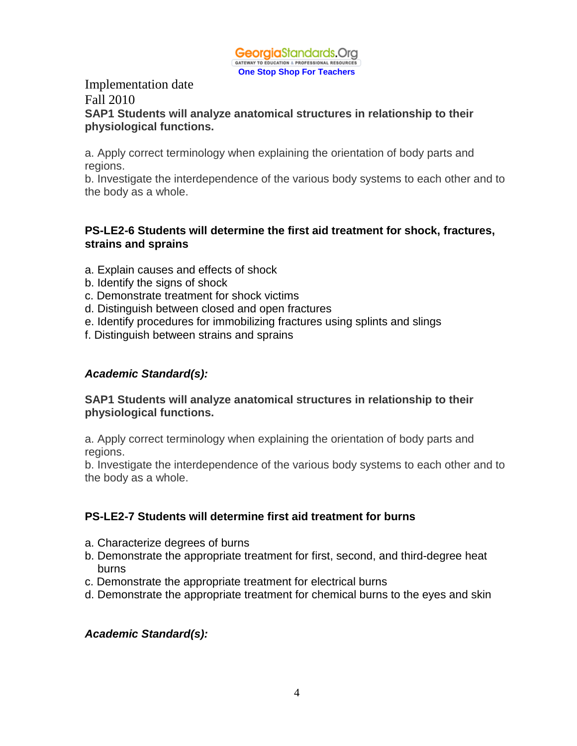

#### Implementation date Fall 2010 **SAP1 Students will analyze anatomical structures in relationship to their physiological functions.**

a. Apply correct terminology when explaining the orientation of body parts and regions.

b. Investigate the interdependence of the various body systems to each other and to the body as a whole.

#### **PS-LE2-6 Students will determine the first aid treatment for shock, fractures, strains and sprains**

- a. Explain causes and effects of shock
- b. Identify the signs of shock
- c. Demonstrate treatment for shock victims
- d. Distinguish between closed and open fractures
- e. Identify procedures for immobilizing fractures using splints and slings
- f. Distinguish between strains and sprains

#### *Academic Standard(s):*

#### **SAP1 Students will analyze anatomical structures in relationship to their physiological functions.**

a. Apply correct terminology when explaining the orientation of body parts and regions.

b. Investigate the interdependence of the various body systems to each other and to the body as a whole.

#### **PS-LE2-7 Students will determine first aid treatment for burns**

- a. Characterize degrees of burns
- b. Demonstrate the appropriate treatment for first, second, and third-degree heat burns
- c. Demonstrate the appropriate treatment for electrical burns
- d. Demonstrate the appropriate treatment for chemical burns to the eyes and skin

#### *Academic Standard(s):*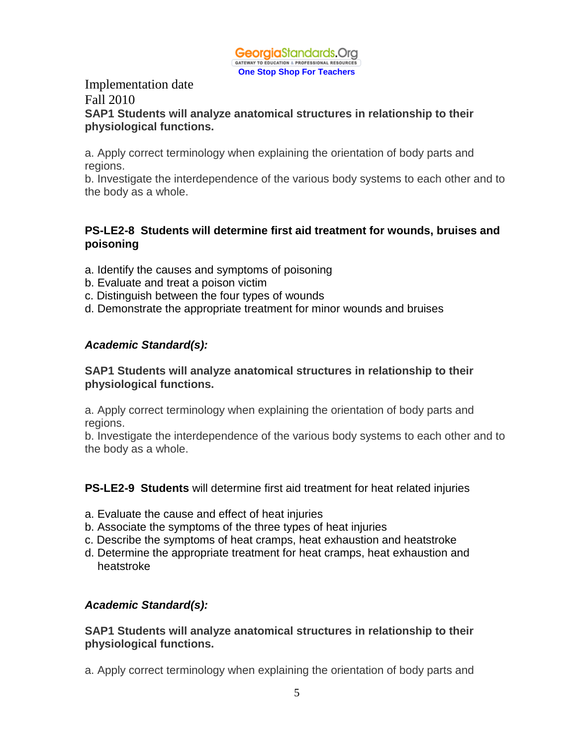

#### Implementation date Fall 2010 **SAP1 Students will analyze anatomical structures in relationship to their physiological functions.**

a. Apply correct terminology when explaining the orientation of body parts and regions.

b. Investigate the interdependence of the various body systems to each other and to the body as a whole.

#### **PS-LE2-8 Students will determine first aid treatment for wounds, bruises and poisoning**

- a. Identify the causes and symptoms of poisoning
- b. Evaluate and treat a poison victim
- c. Distinguish between the four types of wounds
- d. Demonstrate the appropriate treatment for minor wounds and bruises

#### *Academic Standard(s):*

#### **SAP1 Students will analyze anatomical structures in relationship to their physiological functions.**

a. Apply correct terminology when explaining the orientation of body parts and regions.

b. Investigate the interdependence of the various body systems to each other and to the body as a whole.

#### **PS-LE2-9 Students** will determine first aid treatment for heat related injuries

- a. Evaluate the cause and effect of heat injuries
- b. Associate the symptoms of the three types of heat injuries
- c. Describe the symptoms of heat cramps, heat exhaustion and heatstroke
- d. Determine the appropriate treatment for heat cramps, heat exhaustion and heatstroke

#### *Academic Standard(s):*

#### **SAP1 Students will analyze anatomical structures in relationship to their physiological functions.**

a. Apply correct terminology when explaining the orientation of body parts and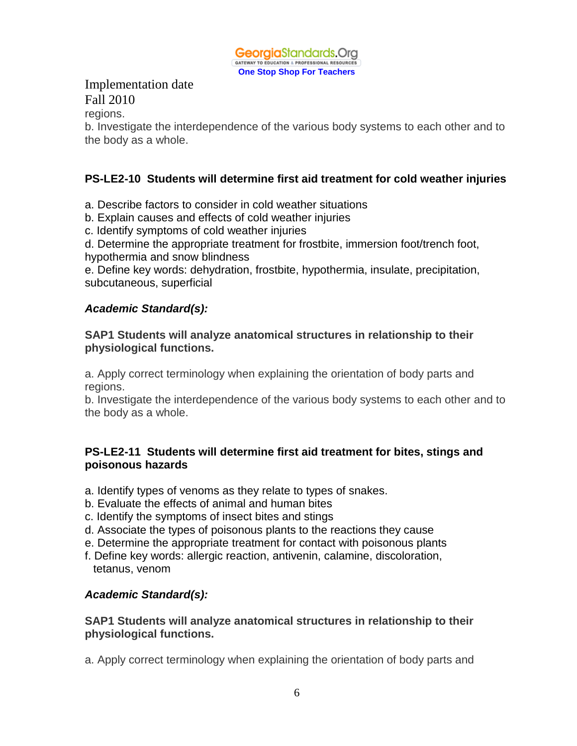

regions.

b. Investigate the interdependence of the various body systems to each other and to the body as a whole.

## **PS-LE2-10 Students will determine first aid treatment for cold weather injuries**

a. Describe factors to consider in cold weather situations

- b. Explain causes and effects of cold weather injuries
- c. Identify symptoms of cold weather injuries

d. Determine the appropriate treatment for frostbite, immersion foot/trench foot, hypothermia and snow blindness

e. Define key words: dehydration, frostbite, hypothermia, insulate, precipitation, subcutaneous, superficial

#### *Academic Standard(s):*

#### **SAP1 Students will analyze anatomical structures in relationship to their physiological functions.**

a. Apply correct terminology when explaining the orientation of body parts and regions.

b. Investigate the interdependence of the various body systems to each other and to the body as a whole.

#### **PS-LE2-11 Students will determine first aid treatment for bites, stings and poisonous hazards**

- a. Identify types of venoms as they relate to types of snakes.
- b. Evaluate the effects of animal and human bites
- c. Identify the symptoms of insect bites and stings
- d. Associate the types of poisonous plants to the reactions they cause
- e. Determine the appropriate treatment for contact with poisonous plants
- f. Define key words: allergic reaction, antivenin, calamine, discoloration, tetanus, venom

#### *Academic Standard(s):*

#### **SAP1 Students will analyze anatomical structures in relationship to their physiological functions.**

a. Apply correct terminology when explaining the orientation of body parts and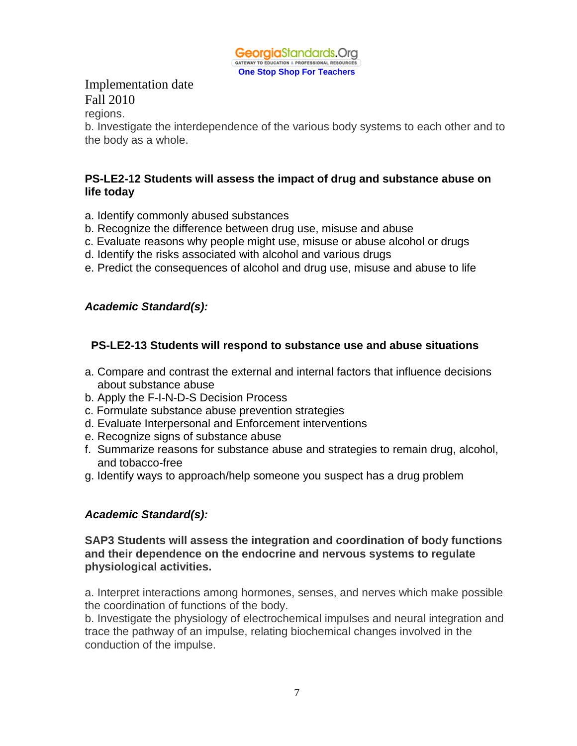

regions.

b. Investigate the interdependence of the various body systems to each other and to the body as a whole.

#### **PS-LE2-12 Students will assess the impact of drug and substance abuse on life today**

- a. Identify commonly abused substances
- b. Recognize the difference between drug use, misuse and abuse
- c. Evaluate reasons why people might use, misuse or abuse alcohol or drugs
- d. Identify the risks associated with alcohol and various drugs
- e. Predict the consequences of alcohol and drug use, misuse and abuse to life

## *Academic Standard(s):*

## **PS-LE2-13 Students will respond to substance use and abuse situations**

- a. Compare and contrast the external and internal factors that influence decisions about substance abuse
- b. Apply the F-I-N-D-S Decision Process
- c. Formulate substance abuse prevention strategies
- d. Evaluate Interpersonal and Enforcement interventions
- e. Recognize signs of substance abuse
- f. Summarize reasons for substance abuse and strategies to remain drug, alcohol, and tobacco-free
- g. Identify ways to approach/help someone you suspect has a drug problem

#### *Academic Standard(s):*

#### **SAP3 Students will assess the integration and coordination of body functions and their dependence on the endocrine and nervous systems to regulate physiological activities.**

a. Interpret interactions among hormones, senses, and nerves which make possible the coordination of functions of the body.

b. Investigate the physiology of electrochemical impulses and neural integration and trace the pathway of an impulse, relating biochemical changes involved in the conduction of the impulse.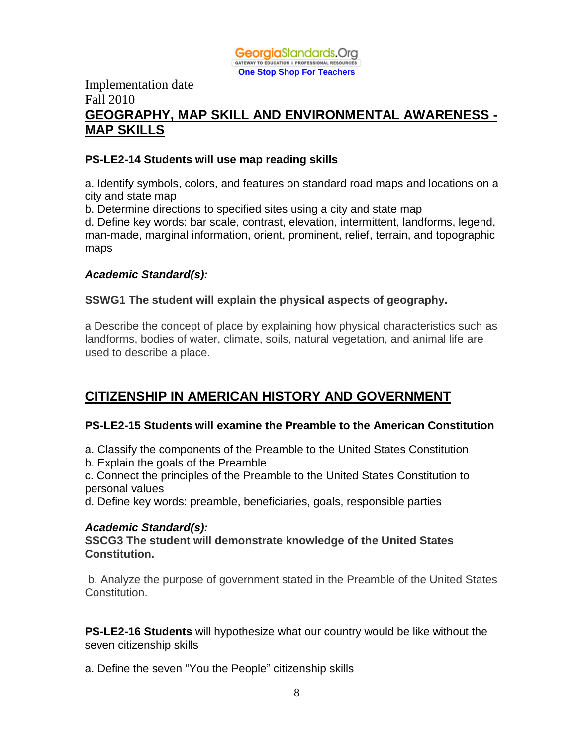

## Implementation date Fall 2010 **GEOGRAPHY, MAP SKILL AND ENVIRONMENTAL AWARENESS - MAP SKILLS**

#### **PS-LE2-14 Students will use map reading skills**

a. Identify symbols, colors, and features on standard road maps and locations on a city and state map

b. Determine directions to specified sites using a city and state map

d. Define key words: bar scale, contrast, elevation, intermittent, landforms, legend, man-made, marginal information, orient, prominent, relief, terrain, and topographic maps

#### *Academic Standard(s):*

#### **SSWG1 The student will explain the physical aspects of geography.**

a Describe the concept of place by explaining how physical characteristics such as landforms, bodies of water, climate, soils, natural vegetation, and animal life are used to describe a place.

# **CITIZENSHIP IN AMERICAN HISTORY AND GOVERNMENT**

#### **PS-LE2-15 Students will examine the Preamble to the American Constitution**

- a. Classify the components of the Preamble to the United States Constitution
- b. Explain the goals of the Preamble

c. Connect the principles of the Preamble to the United States Constitution to personal values

d. Define key words: preamble, beneficiaries, goals, responsible parties

#### *Academic Standard(s):*

**SSCG3 The student will demonstrate knowledge of the United States Constitution.**

b. Analyze the purpose of government stated in the Preamble of the United States Constitution.

**PS-LE2-16 Students** will hypothesize what our country would be like without the seven citizenship skills

a. Define the seven "You the People" citizenship skills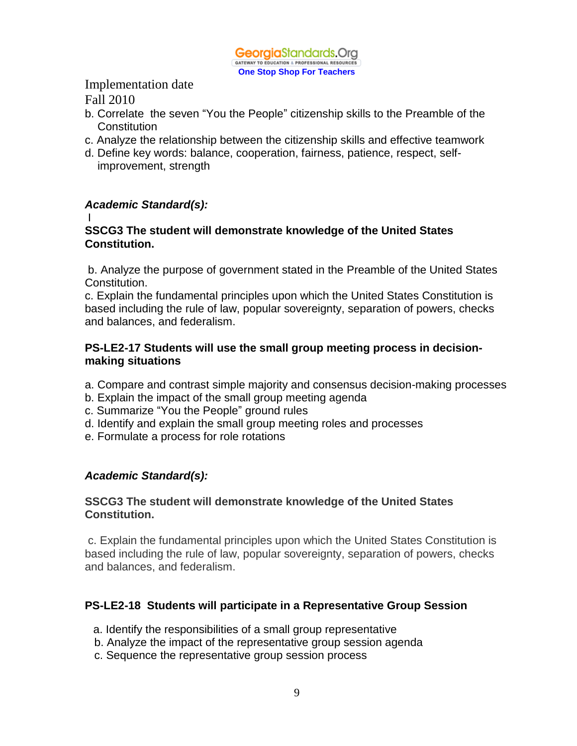

# Implementation date

Fall 2010

- b. Correlate the seven "You the People" citizenship skills to the Preamble of the Constitution
- c. Analyze the relationship between the citizenship skills and effective teamwork
- d. Define key words: balance, cooperation, fairness, patience, respect, selfimprovement, strength

## *Academic Standard(s):*

#### I

#### **SSCG3 The student will demonstrate knowledge of the United States Constitution.**

b. Analyze the purpose of government stated in the Preamble of the United States Constitution.

c. Explain the fundamental principles upon which the United States Constitution is based including the rule of law, popular sovereignty, separation of powers, checks and balances, and federalism.

#### **PS-LE2-17 Students will use the small group meeting process in decisionmaking situations**

- a. Compare and contrast simple majority and consensus decision-making processes
- b. Explain the impact of the small group meeting agenda
- c. Summarize "You the People" ground rules
- d. Identify and explain the small group meeting roles and processes
- e. Formulate a process for role rotations

#### *Academic Standard(s):*

#### **SSCG3 The student will demonstrate knowledge of the United States Constitution.**

c. Explain the fundamental principles upon which the United States Constitution is based including the rule of law, popular sovereignty, separation of powers, checks and balances, and federalism.

#### **PS-LE2-18 Students will participate in a Representative Group Session**

- a. Identify the responsibilities of a small group representative
- b. Analyze the impact of the representative group session agenda
- c. Sequence the representative group session process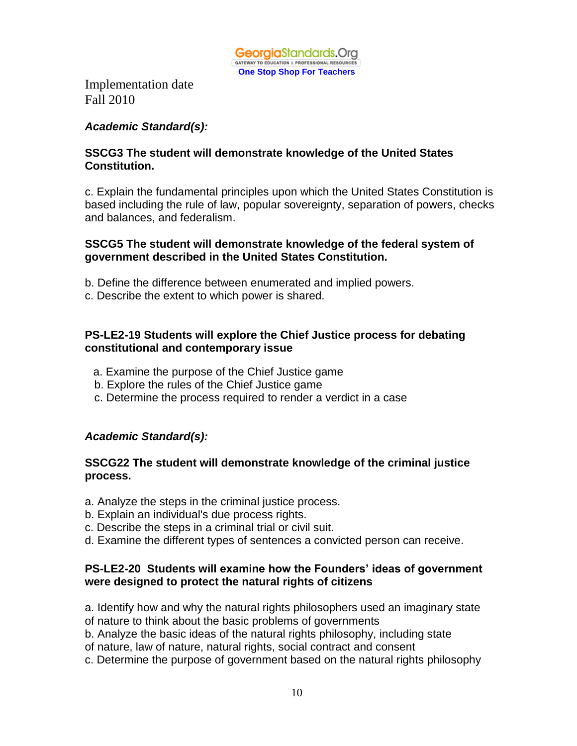

#### *Academic Standard(s):*

#### **SSCG3 The student will demonstrate knowledge of the United States Constitution.**

c. Explain the fundamental principles upon which the United States Constitution is based including the rule of law, popular sovereignty, separation of powers, checks and balances, and federalism.

#### **SSCG5 The student will demonstrate knowledge of the federal system of government described in the United States Constitution.**

- b. Define the difference between enumerated and implied powers.
- c. Describe the extent to which power is shared.

#### **PS-LE2-19 Students will explore the Chief Justice process for debating constitutional and contemporary issue**

- a. Examine the purpose of the Chief Justice game
- b. Explore the rules of the Chief Justice game
- c. Determine the process required to render a verdict in a case

#### *Academic Standard(s):*

#### **SSCG22 The student will demonstrate knowledge of the criminal justice process.**

- a. Analyze the steps in the criminal justice process.
- b. Explain an individual's due process rights.
- c. Describe the steps in a criminal trial or civil suit.
- d. Examine the different types of sentences a convicted person can receive.

#### **PS-LE2-20 Students will examine how the Founders' ideas of government were designed to protect the natural rights of citizens**

a. Identify how and why the natural rights philosophers used an imaginary state of nature to think about the basic problems of governments

b. Analyze the basic ideas of the natural rights philosophy, including state

- of nature, law of nature, natural rights, social contract and consent
- c. Determine the purpose of government based on the natural rights philosophy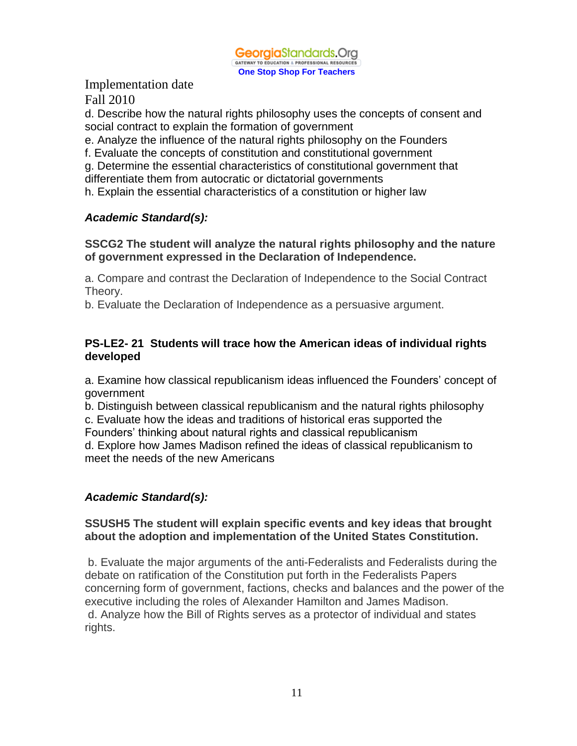

d. Describe how the natural rights philosophy uses the concepts of consent and social contract to explain the formation of government

e. Analyze the influence of the natural rights philosophy on the Founders

f. Evaluate the concepts of constitution and constitutional government

g. Determine the essential characteristics of constitutional government that

differentiate them from autocratic or dictatorial governments

h. Explain the essential characteristics of a constitution or higher law

## *Academic Standard(s):*

**SSCG2 The student will analyze the natural rights philosophy and the nature of government expressed in the Declaration of Independence.**

a. Compare and contrast the Declaration of Independence to the Social Contract Theory.

b. Evaluate the Declaration of Independence as a persuasive argument.

#### **PS-LE2- 21 Students will trace how the American ideas of individual rights developed**

a. Examine how classical republicanism ideas influenced the Founders' concept of government

b. Distinguish between classical republicanism and the natural rights philosophy

c. Evaluate how the ideas and traditions of historical eras supported the

Founders' thinking about natural rights and classical republicanism

d. Explore how James Madison refined the ideas of classical republicanism to meet the needs of the new Americans

## *Academic Standard(s):*

#### **SSUSH5 The student will explain specific events and key ideas that brought about the adoption and implementation of the United States Constitution.**

b. Evaluate the major arguments of the anti-Federalists and Federalists during the debate on ratification of the Constitution put forth in the Federalists Papers concerning form of government, factions, checks and balances and the power of the executive including the roles of Alexander Hamilton and James Madison. d. Analyze how the Bill of Rights serves as a protector of individual and states rights.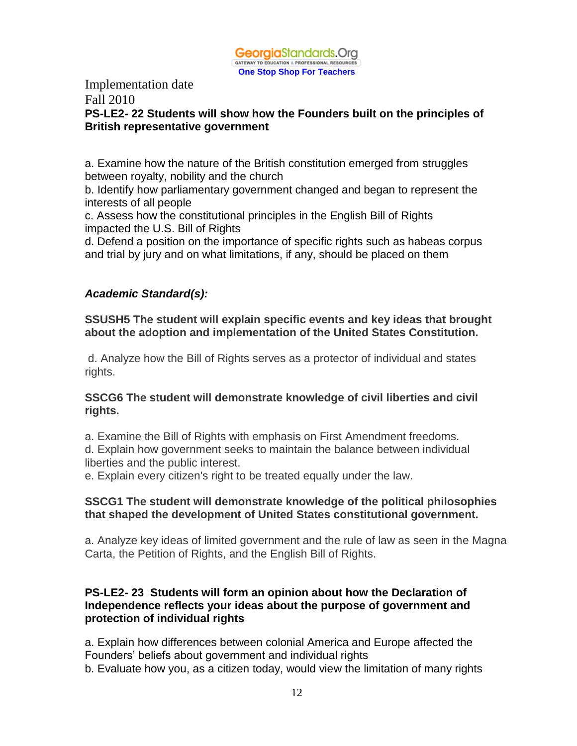

# Implementation date

# Fall 2010

#### **PS-LE2- 22 Students will show how the Founders built on the principles of British representative government**

a. Examine how the nature of the British constitution emerged from struggles between royalty, nobility and the church

b. Identify how parliamentary government changed and began to represent the interests of all people

c. Assess how the constitutional principles in the English Bill of Rights impacted the U.S. Bill of Rights

d. Defend a position on the importance of specific rights such as habeas corpus and trial by jury and on what limitations, if any, should be placed on them

#### *Academic Standard(s):*

**SSUSH5 The student will explain specific events and key ideas that brought about the adoption and implementation of the United States Constitution.**

d. Analyze how the Bill of Rights serves as a protector of individual and states rights.

#### **SSCG6 The student will demonstrate knowledge of civil liberties and civil rights.**

a. Examine the Bill of Rights with emphasis on First Amendment freedoms. d. Explain how government seeks to maintain the balance between individual liberties and the public interest.

e. Explain every citizen's right to be treated equally under the law.

#### **SSCG1 The student will demonstrate knowledge of the political philosophies that shaped the development of United States constitutional government.**

a. Analyze key ideas of limited government and the rule of law as seen in the Magna Carta, the Petition of Rights, and the English Bill of Rights.

#### **PS-LE2- 23 Students will form an opinion about how the Declaration of Independence reflects your ideas about the purpose of government and protection of individual rights**

a. Explain how differences between colonial America and Europe affected the Founders' beliefs about government and individual rights b. Evaluate how you, as a citizen today, would view the limitation of many rights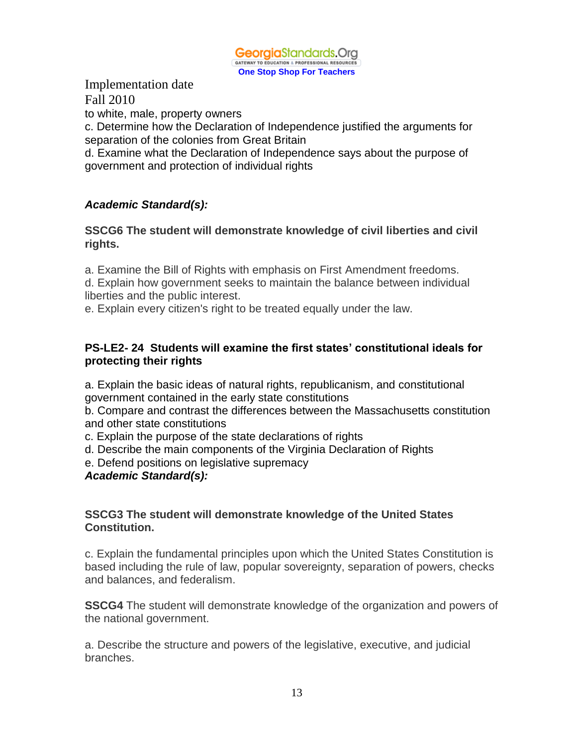

to white, male, property owners

c. Determine how the Declaration of Independence justified the arguments for separation of the colonies from Great Britain

d. Examine what the Declaration of Independence says about the purpose of government and protection of individual rights

## *Academic Standard(s):*

**SSCG6 The student will demonstrate knowledge of civil liberties and civil rights.**

a. Examine the Bill of Rights with emphasis on First Amendment freedoms.

d. Explain how government seeks to maintain the balance between individual liberties and the public interest.

e. Explain every citizen's right to be treated equally under the law.

#### **PS-LE2- 24 Students will examine the first states' constitutional ideals for protecting their rights**

a. Explain the basic ideas of natural rights, republicanism, and constitutional government contained in the early state constitutions

b. Compare and contrast the differences between the Massachusetts constitution and other state constitutions

c. Explain the purpose of the state declarations of rights

d. Describe the main components of the Virginia Declaration of Rights

e. Defend positions on legislative supremacy

#### *Academic Standard(s):*

#### **SSCG3 The student will demonstrate knowledge of the United States Constitution.**

c. Explain the fundamental principles upon which the United States Constitution is based including the rule of law, popular sovereignty, separation of powers, checks and balances, and federalism.

**SSCG4** The student will demonstrate knowledge of the organization and powers of the national government.

a. Describe the structure and powers of the legislative, executive, and judicial branches.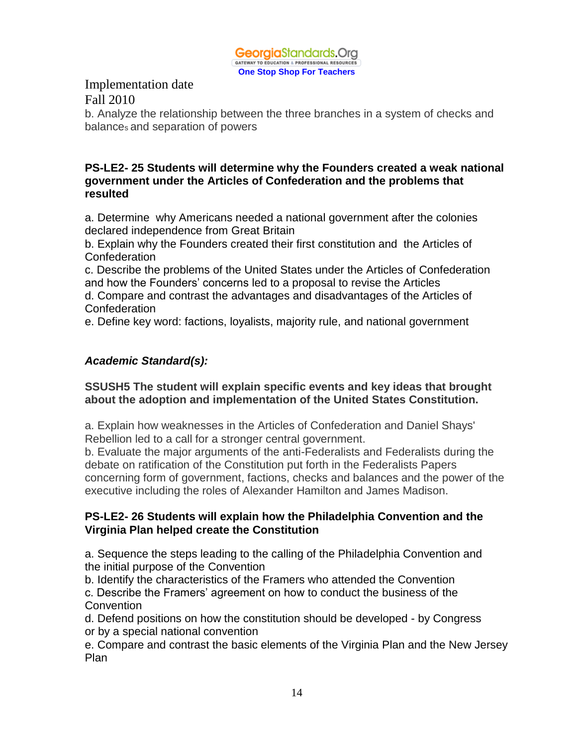

b. Analyze the relationship between the three branches in a system of checks and balances and separation of powers

#### **PS-LE2- 25 Students will determine why the Founders created a weak national government under the Articles of Confederation and the problems that resulted**

a. Determine why Americans needed a national government after the colonies declared independence from Great Britain

b. Explain why the Founders created their first constitution and the Articles of Confederation

c. Describe the problems of the United States under the Articles of Confederation and how the Founders' concerns led to a proposal to revise the Articles

d. Compare and contrast the advantages and disadvantages of the Articles of Confederation

e. Define key word: factions, loyalists, majority rule, and national government

## *Academic Standard(s):*

#### **SSUSH5 The student will explain specific events and key ideas that brought about the adoption and implementation of the United States Constitution.**

a. Explain how weaknesses in the Articles of Confederation and Daniel Shays' Rebellion led to a call for a stronger central government.

b. Evaluate the major arguments of the anti-Federalists and Federalists during the debate on ratification of the Constitution put forth in the Federalists Papers concerning form of government, factions, checks and balances and the power of the executive including the roles of Alexander Hamilton and James Madison.

#### **PS-LE2- 26 Students will explain how the Philadelphia Convention and the Virginia Plan helped create the Constitution**

a. Sequence the steps leading to the calling of the Philadelphia Convention and the initial purpose of the Convention

b. Identify the characteristics of the Framers who attended the Convention c. Describe the Framers' agreement on how to conduct the business of the **Convention** 

d. Defend positions on how the constitution should be developed - by Congress or by a special national convention

e. Compare and contrast the basic elements of the Virginia Plan and the New Jersey Plan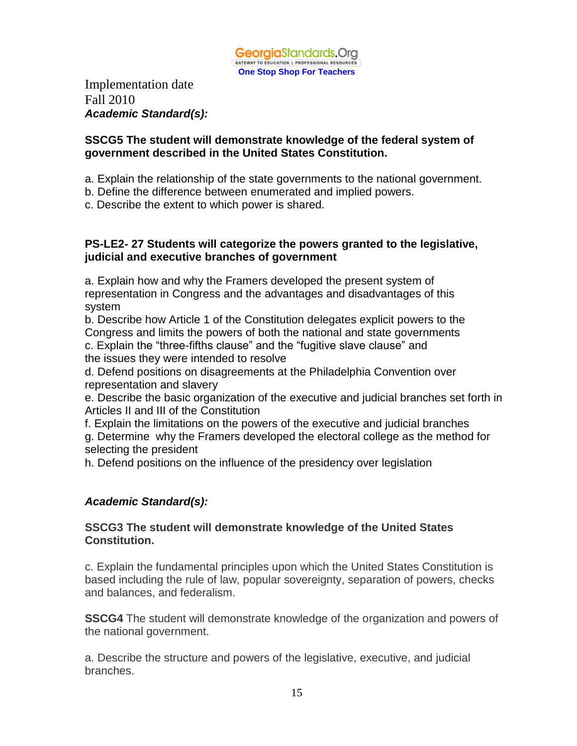

Implementation date Fall 2010 *Academic Standard(s):*

#### **SSCG5 The student will demonstrate knowledge of the federal system of government described in the United States Constitution.**

- a. Explain the relationship of the state governments to the national government.
- b. Define the difference between enumerated and implied powers.
- c. Describe the extent to which power is shared.

#### **PS-LE2- 27 Students will categorize the powers granted to the legislative, judicial and executive branches of government**

a. Explain how and why the Framers developed the present system of representation in Congress and the advantages and disadvantages of this system

b. Describe how Article 1 of the Constitution delegates explicit powers to the Congress and limits the powers of both the national and state governments c. Explain the "three-fifths clause" and the "fugitive slave clause" and the issues they were intended to resolve

d. Defend positions on disagreements at the Philadelphia Convention over representation and slavery

e. Describe the basic organization of the executive and judicial branches set forth in Articles II and III of the Constitution

f. Explain the limitations on the powers of the executive and judicial branches g. Determine why the Framers developed the electoral college as the method for selecting the president

h. Defend positions on the influence of the presidency over legislation

#### *Academic Standard(s):*

#### **SSCG3 The student will demonstrate knowledge of the United States Constitution.**

c. Explain the fundamental principles upon which the United States Constitution is based including the rule of law, popular sovereignty, separation of powers, checks and balances, and federalism.

**SSCG4** The student will demonstrate knowledge of the organization and powers of the national government.

a. Describe the structure and powers of the legislative, executive, and judicial branches.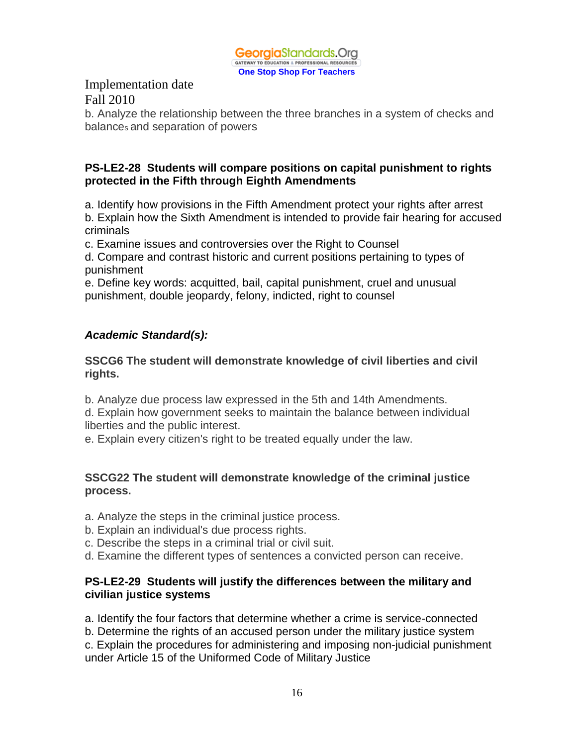

b. Analyze the relationship between the three branches in a system of checks and balances and separation of powers

#### **PS-LE2-28 Students will compare positions on capital punishment to rights protected in the Fifth through Eighth Amendments**

a. Identify how provisions in the Fifth Amendment protect your rights after arrest b. Explain how the Sixth Amendment is intended to provide fair hearing for accused criminals

c. Examine issues and controversies over the Right to Counsel

d. Compare and contrast historic and current positions pertaining to types of punishment

e. Define key words: acquitted, bail, capital punishment, cruel and unusual punishment, double jeopardy, felony, indicted, right to counsel

## *Academic Standard(s):*

#### **SSCG6 The student will demonstrate knowledge of civil liberties and civil rights.**

b. Analyze due process law expressed in the 5th and 14th Amendments.

d. Explain how government seeks to maintain the balance between individual liberties and the public interest.

e. Explain every citizen's right to be treated equally under the law.

#### **SSCG22 The student will demonstrate knowledge of the criminal justice process.**

- a. Analyze the steps in the criminal justice process.
- b. Explain an individual's due process rights.
- c. Describe the steps in a criminal trial or civil suit.
- d. Examine the different types of sentences a convicted person can receive.

#### **PS-LE2-29 Students will justify the differences between the military and civilian justice systems**

a. Identify the four factors that determine whether a crime is service-connected

b. Determine the rights of an accused person under the military justice system

c. Explain the procedures for administering and imposing non-judicial punishment under Article 15 of the Uniformed Code of Military Justice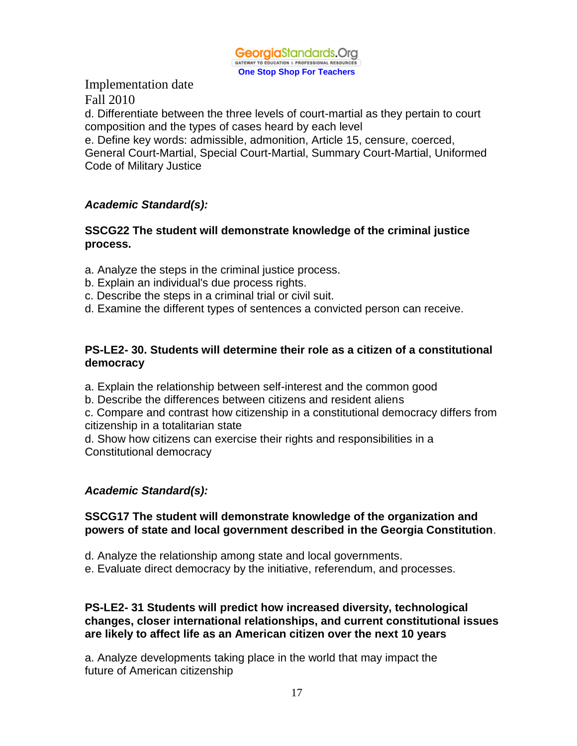

d. Differentiate between the three levels of court-martial as they pertain to court composition and the types of cases heard by each level

e. Define key words: admissible, admonition, Article 15, censure, coerced, General Court-Martial, Special Court-Martial, Summary Court-Martial, Uniformed Code of Military Justice

#### *Academic Standard(s):*

#### **SSCG22 The student will demonstrate knowledge of the criminal justice process.**

- a. Analyze the steps in the criminal justice process.
- b. Explain an individual's due process rights.
- c. Describe the steps in a criminal trial or civil suit.
- d. Examine the different types of sentences a convicted person can receive.

#### **PS-LE2- 30. Students will determine their role as a citizen of a constitutional democracy**

a. Explain the relationship between self-interest and the common good

b. Describe the differences between citizens and resident aliens

c. Compare and contrast how citizenship in a constitutional democracy differs from citizenship in a totalitarian state

d. Show how citizens can exercise their rights and responsibilities in a Constitutional democracy

#### *Academic Standard(s):*

#### **SSCG17 The student will demonstrate knowledge of the organization and powers of state and local government described in the Georgia Constitution**.

- d. Analyze the relationship among state and local governments.
- e. Evaluate direct democracy by the initiative, referendum, and processes.

#### **PS-LE2- 31 Students will predict how increased diversity, technological changes, closer international relationships, and current constitutional issues are likely to affect life as an American citizen over the next 10 years**

a. Analyze developments taking place in the world that may impact the future of American citizenship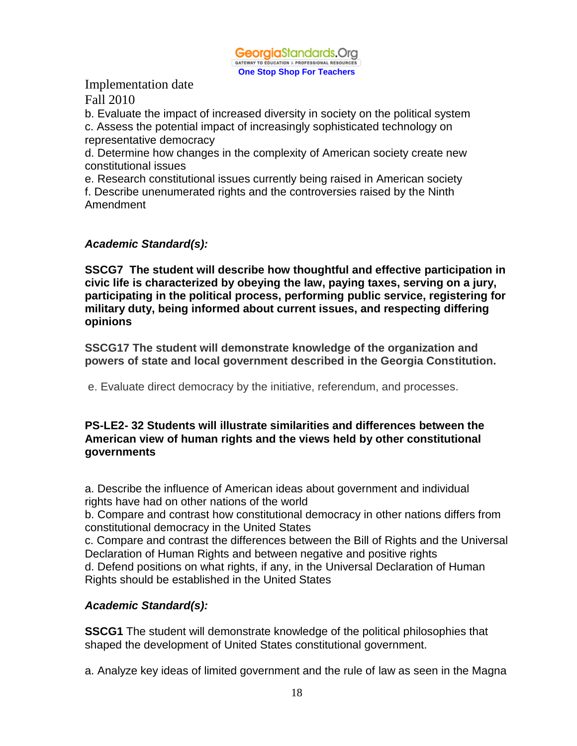**Georgia**Standards.Org GATEWAY TO EDUCATION & PROFESSIONAL RESOURCES **One Stop Shop For Teachers**

Implementation date Fall 2010

b. Evaluate the impact of increased diversity in society on the political system

c. Assess the potential impact of increasingly sophisticated technology on representative democracy

d. Determine how changes in the complexity of American society create new constitutional issues

e. Research constitutional issues currently being raised in American society f. Describe unenumerated rights and the controversies raised by the Ninth Amendment

#### *Academic Standard(s):*

**SSCG7 The student will describe how thoughtful and effective participation in civic life is characterized by obeying the law, paying taxes, serving on a jury, participating in the political process, performing public service, registering for military duty, being informed about current issues, and respecting differing opinions**

**SSCG17 The student will demonstrate knowledge of the organization and powers of state and local government described in the Georgia Constitution.**

e. Evaluate direct democracy by the initiative, referendum, and processes.

#### **PS-LE2- 32 Students will illustrate similarities and differences between the American view of human rights and the views held by other constitutional governments**

a. Describe the influence of American ideas about government and individual rights have had on other nations of the world

b. Compare and contrast how constitutional democracy in other nations differs from constitutional democracy in the United States

c. Compare and contrast the differences between the Bill of Rights and the Universal Declaration of Human Rights and between negative and positive rights

d. Defend positions on what rights, if any, in the Universal Declaration of Human Rights should be established in the United States

## *Academic Standard(s):*

**SSCG1** The student will demonstrate knowledge of the political philosophies that shaped the development of United States constitutional government.

a. Analyze key ideas of limited government and the rule of law as seen in the Magna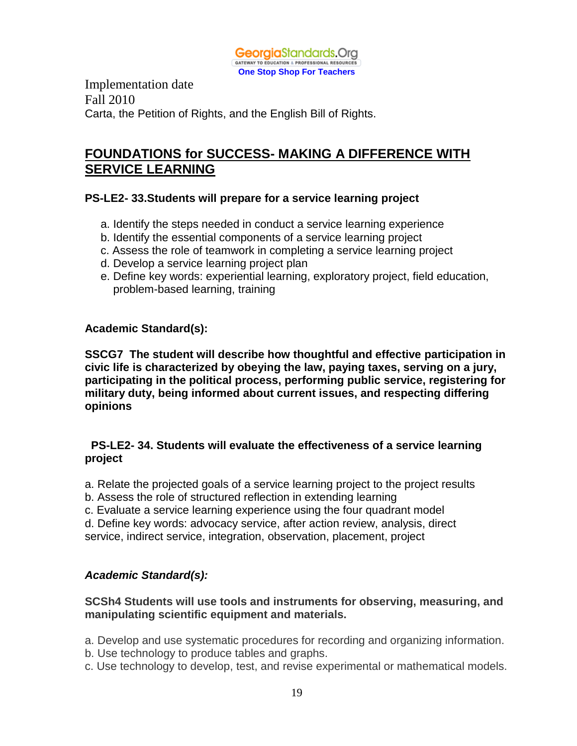

Implementation date Fall 2010 Carta, the Petition of Rights, and the English Bill of Rights.

## **FOUNDATIONS for SUCCESS- MAKING A DIFFERENCE WITH SERVICE LEARNING**

#### **PS-LE2- 33.Students will prepare for a service learning project**

- a. Identify the steps needed in conduct a service learning experience
- b. Identify the essential components of a service learning project
- c. Assess the role of teamwork in completing a service learning project
- d. Develop a service learning project plan
- e. Define key words: experiential learning, exploratory project, field education, problem-based learning, training

#### **Academic Standard(s):**

**SSCG7 The student will describe how thoughtful and effective participation in civic life is characterized by obeying the law, paying taxes, serving on a jury, participating in the political process, performing public service, registering for military duty, being informed about current issues, and respecting differing opinions**

#### **PS-LE2- 34. Students will evaluate the effectiveness of a service learning project**

- a. Relate the projected goals of a service learning project to the project results
- b. Assess the role of structured reflection in extending learning
- c. Evaluate a service learning experience using the four quadrant model
- d. Define key words: advocacy service, after action review, analysis, direct

service, indirect service, integration, observation, placement, project

#### *Academic Standard(s):*

#### **SCSh4 Students will use tools and instruments for observing, measuring, and manipulating scientific equipment and materials.**

a. Develop and use systematic procedures for recording and organizing information.

- b. Use technology to produce tables and graphs.
- c. Use technology to develop, test, and revise experimental or mathematical models.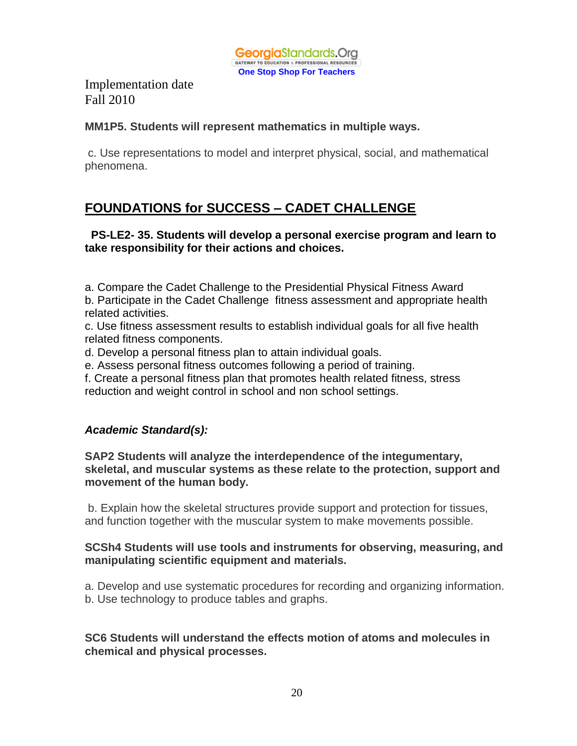

#### **MM1P5. Students will represent mathematics in multiple ways.**

c. Use representations to model and interpret physical, social, and mathematical phenomena.

# **FOUNDATIONS for SUCCESS – CADET CHALLENGE**

#### **PS-LE2- 35. Students will develop a personal exercise program and learn to take responsibility for their actions and choices.**

a. Compare the Cadet Challenge to the Presidential Physical Fitness Award

b. Participate in the Cadet Challenge fitness assessment and appropriate health related activities.

c. Use fitness assessment results to establish individual goals for all five health related fitness components.

d. Develop a personal fitness plan to attain individual goals.

e. Assess personal fitness outcomes following a period of training.

f. Create a personal fitness plan that promotes health related fitness, stress reduction and weight control in school and non school settings.

## *Academic Standard(s):*

**SAP2 Students will analyze the interdependence of the integumentary, skeletal, and muscular systems as these relate to the protection, support and movement of the human body.**

b. Explain how the skeletal structures provide support and protection for tissues, and function together with the muscular system to make movements possible.

#### **SCSh4 Students will use tools and instruments for observing, measuring, and manipulating scientific equipment and materials.**

a. Develop and use systematic procedures for recording and organizing information. b. Use technology to produce tables and graphs.

**SC6 Students will understand the effects motion of atoms and molecules in chemical and physical processes.**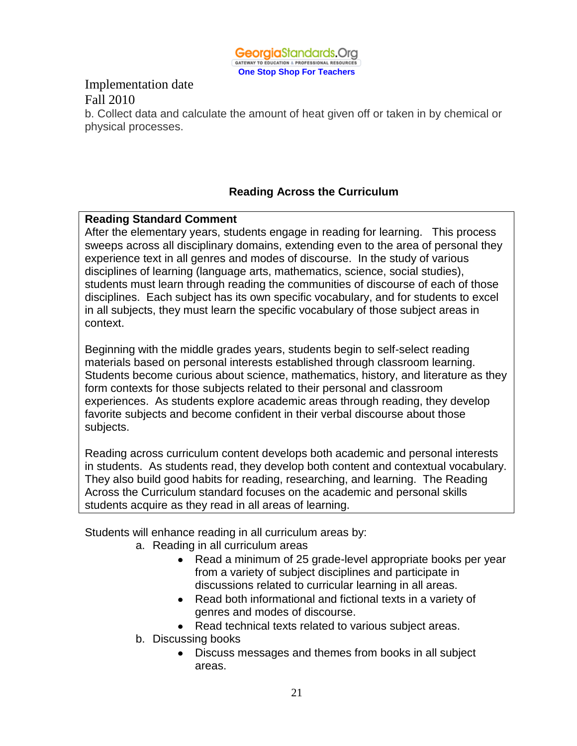

b. Collect data and calculate the amount of heat given off or taken in by chemical or physical processes.

#### **Reading Across the Curriculum**

#### **Reading Standard Comment**

After the elementary years, students engage in reading for learning. This process sweeps across all disciplinary domains, extending even to the area of personal they experience text in all genres and modes of discourse. In the study of various disciplines of learning (language arts, mathematics, science, social studies), students must learn through reading the communities of discourse of each of those disciplines. Each subject has its own specific vocabulary, and for students to excel in all subjects, they must learn the specific vocabulary of those subject areas in context.

Beginning with the middle grades years, students begin to self-select reading materials based on personal interests established through classroom learning. Students become curious about science, mathematics, history, and literature as they form contexts for those subjects related to their personal and classroom experiences. As students explore academic areas through reading, they develop favorite subjects and become confident in their verbal discourse about those subjects.

Reading across curriculum content develops both academic and personal interests in students. As students read, they develop both content and contextual vocabulary. They also build good habits for reading, researching, and learning. The Reading Across the Curriculum standard focuses on the academic and personal skills students acquire as they read in all areas of learning.

Students will enhance reading in all curriculum areas by:

- a. Reading in all curriculum areas
	- Read a minimum of 25 grade-level appropriate books per year from a variety of subject disciplines and participate in discussions related to curricular learning in all areas.
	- Read both informational and fictional texts in a variety of genres and modes of discourse.
	- Read technical texts related to various subject areas.
- b. Discussing books
	- Discuss messages and themes from books in all subject areas.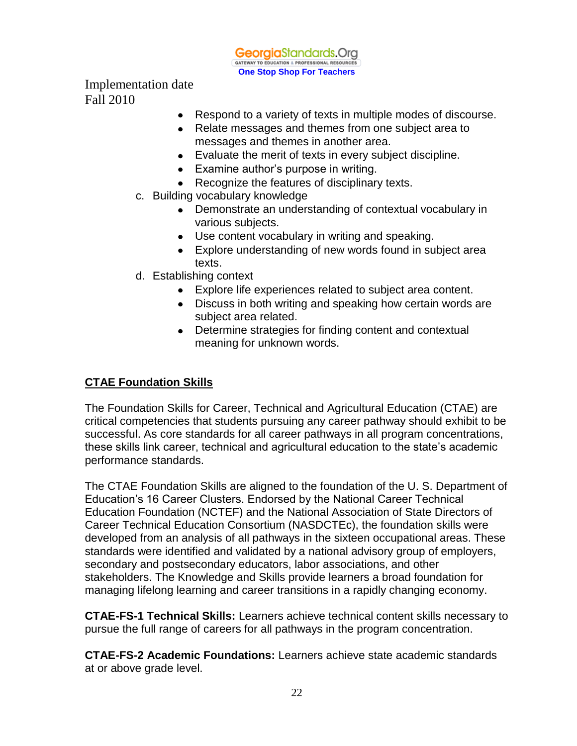**Georgia**Standards.Org GATEWAY TO EDUCATION & PROFESSIONAL RESOURCES **One Stop Shop For Teachers**

Implementation date Fall 2010

- Respond to a variety of texts in multiple modes of discourse.
- Relate messages and themes from one subject area to messages and themes in another area.
- Evaluate the merit of texts in every subject discipline.
- Examine author's purpose in writing.
- Recognize the features of disciplinary texts.
- c. Building vocabulary knowledge
	- Demonstrate an understanding of contextual vocabulary in various subjects.
	- Use content vocabulary in writing and speaking.
	- Explore understanding of new words found in subject area texts.
- d. Establishing context
	- Explore life experiences related to subject area content.
	- Discuss in both writing and speaking how certain words are subject area related.
	- Determine strategies for finding content and contextual meaning for unknown words.

#### **CTAE Foundation Skills**

The Foundation Skills for Career, Technical and Agricultural Education (CTAE) are critical competencies that students pursuing any career pathway should exhibit to be successful. As core standards for all career pathways in all program concentrations, these skills link career, technical and agricultural education to the state's academic performance standards.

The CTAE Foundation Skills are aligned to the foundation of the U. S. Department of Education's 16 Career Clusters. Endorsed by the National Career Technical Education Foundation (NCTEF) and the National Association of State Directors of Career Technical Education Consortium (NASDCTEc), the foundation skills were developed from an analysis of all pathways in the sixteen occupational areas. These standards were identified and validated by a national advisory group of employers, secondary and postsecondary educators, labor associations, and other stakeholders. The Knowledge and Skills provide learners a broad foundation for managing lifelong learning and career transitions in a rapidly changing economy.

**CTAE-FS-1 Technical Skills:** Learners achieve technical content skills necessary to pursue the full range of careers for all pathways in the program concentration.

**CTAE-FS-2 Academic Foundations:** Learners achieve state academic standards at or above grade level.